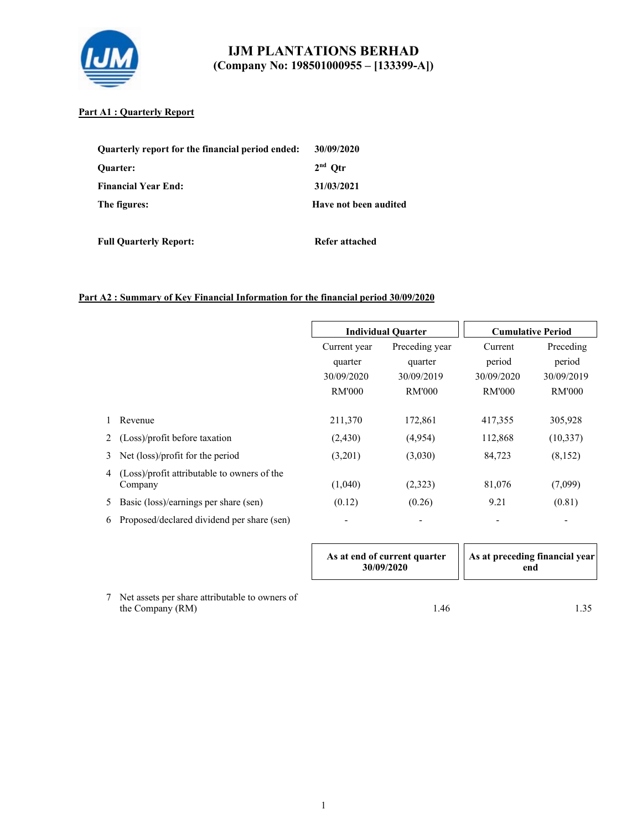

### **Part A1 : Quarterly Report**

| Quarterly report for the financial period ended: | 30/09/2020            |
|--------------------------------------------------|-----------------------|
| <b>Ouarter:</b>                                  | $2nd$ Otr             |
| <b>Financial Year End:</b>                       | 31/03/2021            |
| The figures:                                     | Have not been audited |

**Full Quarterly Report:** Refer attached

# **Part A2 : Summary of Key Financial Information for the financial period 30/09/2020**

|   |                                                        |                                                        | <b>Individual Quarter</b>                                |                                                  | <b>Cumulative Period</b>                           |
|---|--------------------------------------------------------|--------------------------------------------------------|----------------------------------------------------------|--------------------------------------------------|----------------------------------------------------|
|   |                                                        | Current year<br>quarter<br>30/09/2020<br><b>RM'000</b> | Preceding year<br>quarter<br>30/09/2019<br><b>RM'000</b> | Current<br>period<br>30/09/2020<br><b>RM'000</b> | Preceding<br>period<br>30/09/2019<br><b>RM'000</b> |
|   | Revenue                                                | 211,370                                                | 172,861                                                  | 417,355                                          | 305,928                                            |
|   | (Loss)/profit before taxation                          | (2,430)                                                | (4,954)                                                  | 112,868                                          | (10, 337)                                          |
| 3 | Net (loss)/profit for the period                       | (3,201)                                                | (3,030)                                                  | 84,723                                           | (8,152)                                            |
| 4 | (Loss)/profit attributable to owners of the<br>Company | (1,040)                                                | (2,323)                                                  | 81,076                                           | (7,099)                                            |
| 5 | Basic (loss)/earnings per share (sen)                  | (0.12)                                                 | (0.26)                                                   | 9.21                                             | (0.81)                                             |
| 6 | Proposed/declared dividend per share (sen)             | $\overline{\phantom{a}}$                               |                                                          |                                                  |                                                    |

|                                                                    | As at end of current quarter<br>30/09/2020 | As at preceding financial year<br>end |
|--------------------------------------------------------------------|--------------------------------------------|---------------------------------------|
| Net assets per share attributable to owners of<br>the Company (RM) | 1.46                                       |                                       |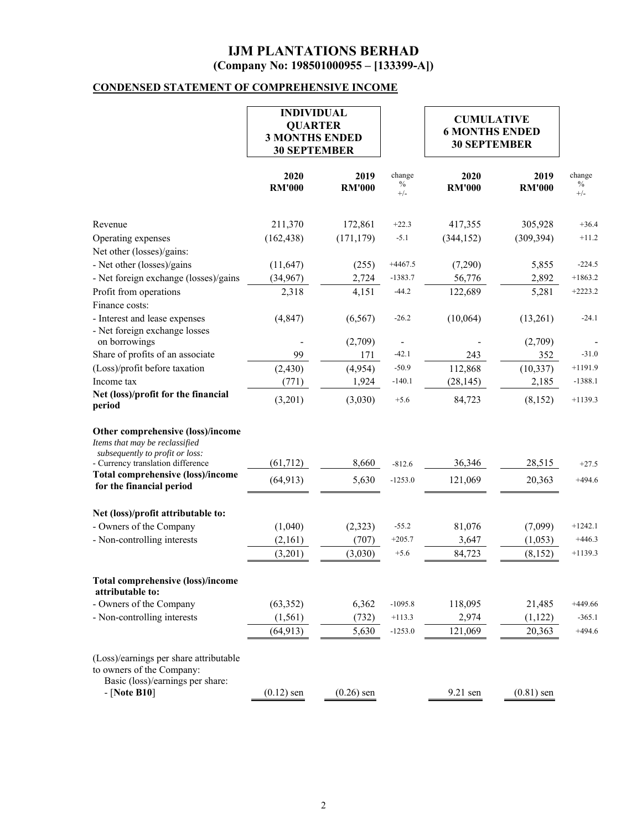# **CONDENSED STATEMENT OF COMPREHENSIVE INCOME**

|                                                                                                                           | <b>INDIVIDUAL</b><br><b>QUARTER</b><br><b>3 MONTHS ENDED</b><br><b>30 SEPTEMBER</b> |                       |                         |                       |                       | <b>CUMULATIVE</b><br><b>6 MONTHS ENDED</b><br><b>30 SEPTEMBER</b> |  |  |
|---------------------------------------------------------------------------------------------------------------------------|-------------------------------------------------------------------------------------|-----------------------|-------------------------|-----------------------|-----------------------|-------------------------------------------------------------------|--|--|
|                                                                                                                           | 2020<br><b>RM'000</b>                                                               | 2019<br><b>RM'000</b> | change<br>$\%$<br>$+/-$ | 2020<br><b>RM'000</b> | 2019<br><b>RM'000</b> | change<br>$\%$<br>$+/-$                                           |  |  |
| Revenue                                                                                                                   | 211,370                                                                             | 172,861               | $+22.3$                 | 417,355               | 305,928               | $+36.4$                                                           |  |  |
| Operating expenses                                                                                                        | (162, 438)                                                                          | (171, 179)            | $-5.1$                  | (344, 152)            | (309, 394)            | $+11.2$                                                           |  |  |
| Net other (losses)/gains:                                                                                                 |                                                                                     |                       |                         |                       |                       |                                                                   |  |  |
| - Net other (losses)/gains                                                                                                | (11, 647)                                                                           | (255)                 | $+4467.5$               | (7,290)               | 5,855                 | $-224.5$                                                          |  |  |
| - Net foreign exchange (losses)/gains                                                                                     | (34,967)                                                                            | 2,724                 | $-1383.7$               | 56,776                | 2,892                 | $+1863.2$                                                         |  |  |
| Profit from operations                                                                                                    | 2,318                                                                               | 4,151                 | $-44.2$                 | 122,689               | 5,281                 | $+2223.2$                                                         |  |  |
| Finance costs:                                                                                                            |                                                                                     |                       |                         |                       |                       |                                                                   |  |  |
| - Interest and lease expenses                                                                                             | (4, 847)                                                                            | (6, 567)              | $-26.2$                 | (10,064)              | (13,261)              | $-24.1$                                                           |  |  |
| - Net foreign exchange losses                                                                                             |                                                                                     |                       |                         |                       |                       |                                                                   |  |  |
| on borrowings                                                                                                             |                                                                                     | (2,709)               |                         |                       | (2,709)               |                                                                   |  |  |
| Share of profits of an associate                                                                                          | 99                                                                                  | 171                   | $-42.1$                 | 243                   | 352                   | $-31.0$                                                           |  |  |
| (Loss)/profit before taxation                                                                                             | (2, 430)                                                                            | (4,954)               | $-50.9$                 | 112,868               | (10, 337)             | $+1191.9$                                                         |  |  |
| Income tax                                                                                                                | (771)                                                                               | 1,924                 | $-140.1$                | (28, 145)             | 2,185                 | $-1388.1$                                                         |  |  |
| Net (loss)/profit for the financial<br>period                                                                             | (3,201)                                                                             | (3,030)               | $+5.6$                  | 84,723                | (8, 152)              | $+1139.3$                                                         |  |  |
| Other comprehensive (loss)/income<br>Items that may be reclassified<br>subsequently to profit or loss:                    |                                                                                     |                       |                         |                       |                       |                                                                   |  |  |
| - Currency translation difference                                                                                         | (61, 712)                                                                           | 8,660                 | $-812.6$                | 36,346                | 28,515                | $+27.5$                                                           |  |  |
| <b>Total comprehensive (loss)/income</b><br>for the financial period                                                      | (64, 913)                                                                           | 5,630                 | $-1253.0$               | 121,069               | 20,363                | $+494.6$                                                          |  |  |
| Net (loss)/profit attributable to:                                                                                        |                                                                                     |                       |                         |                       |                       |                                                                   |  |  |
| - Owners of the Company                                                                                                   | (1,040)                                                                             | (2,323)               | $-55.2$                 | 81,076                | (7,099)               | $+1242.1$                                                         |  |  |
| - Non-controlling interests                                                                                               | (2,161)                                                                             | (707)                 | $+205.7$                | 3,647                 | (1,053)               | $+446.3$                                                          |  |  |
|                                                                                                                           | (3,201)                                                                             | (3,030)               | $+5.6$                  | 84,723                | (8, 152)              | $+1139.3$                                                         |  |  |
| <b>Total comprehensive (loss)/income</b><br>attributable to:                                                              |                                                                                     |                       |                         |                       |                       |                                                                   |  |  |
| - Owners of the Company                                                                                                   | (63, 352)                                                                           | 6,362                 | $-1095.8$               | 118,095               | 21,485                | $+449.66$                                                         |  |  |
| - Non-controlling interests                                                                                               | (1, 561)                                                                            | (732)                 | $+113.3$                | 2,974                 | (1, 122)              | $-365.1$                                                          |  |  |
|                                                                                                                           | (64, 913)                                                                           | 5,630                 | $-1253.0$               | 121,069               | 20,363                | $+494.6$                                                          |  |  |
| (Loss)/earnings per share attributable<br>to owners of the Company:<br>Basic (loss)/earnings per share:<br>$-$ [Note B10] | $(0.12)$ sen                                                                        | $(0.26)$ sen          |                         | 9.21 sen              | $(0.81)$ sen          |                                                                   |  |  |
|                                                                                                                           |                                                                                     |                       |                         |                       |                       |                                                                   |  |  |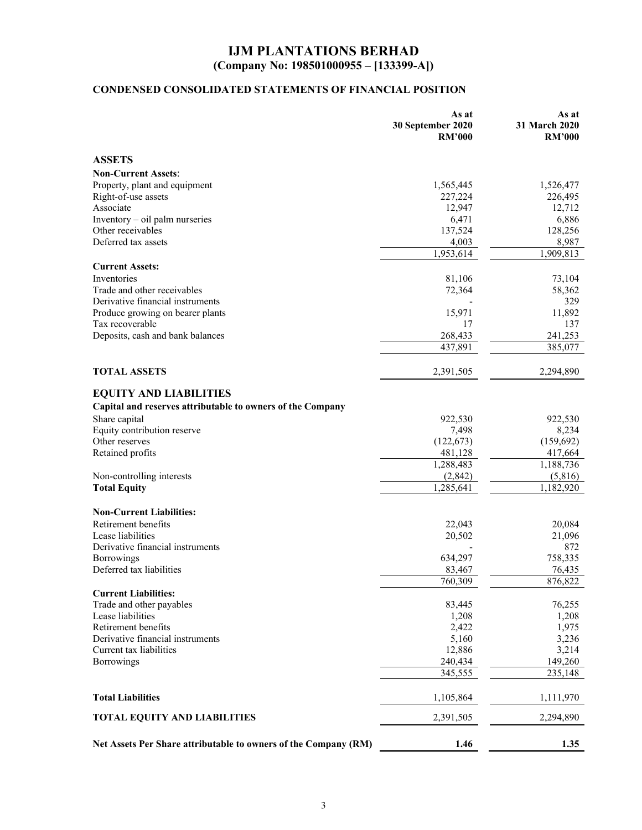# **CONDENSED CONSOLIDATED STATEMENTS OF FINANCIAL POSITION**

|                                                                 | As at<br>30 September 2020<br><b>RM'000</b> | As at<br>31 March 2020<br><b>RM'000</b> |
|-----------------------------------------------------------------|---------------------------------------------|-----------------------------------------|
| <b>ASSETS</b>                                                   |                                             |                                         |
| <b>Non-Current Assets:</b>                                      |                                             |                                         |
| Property, plant and equipment                                   | 1,565,445                                   | 1,526,477                               |
| Right-of-use assets                                             | 227,224                                     | 226,495                                 |
| Associate                                                       | 12,947                                      | 12,712                                  |
| Inventory - oil palm nurseries                                  | 6,471                                       | 6,886                                   |
| Other receivables                                               | 137,524                                     | 128,256                                 |
| Deferred tax assets                                             | 4,003                                       | 8,987                                   |
|                                                                 | 1,953,614                                   | 1,909,813                               |
| <b>Current Assets:</b>                                          |                                             |                                         |
| Inventories                                                     |                                             |                                         |
| Trade and other receivables                                     | 81,106<br>72,364                            | 73,104<br>58,362                        |
| Derivative financial instruments                                |                                             | 329                                     |
| Produce growing on bearer plants                                | 15,971                                      | 11,892                                  |
| Tax recoverable                                                 | 17                                          | 137                                     |
| Deposits, cash and bank balances                                | 268,433                                     | 241,253                                 |
|                                                                 |                                             | 385,077                                 |
|                                                                 | 437,891                                     |                                         |
| <b>TOTAL ASSETS</b>                                             | 2,391,505                                   | 2,294,890                               |
| <b>EQUITY AND LIABILITIES</b>                                   |                                             |                                         |
|                                                                 |                                             |                                         |
| Capital and reserves attributable to owners of the Company      |                                             |                                         |
| Share capital                                                   | 922,530                                     | 922,530                                 |
| Equity contribution reserve<br>Other reserves                   | 7,498                                       | 8,234                                   |
|                                                                 | (122, 673)                                  | (159,692)                               |
| Retained profits                                                | 481,128                                     | 417,664                                 |
|                                                                 | 1,288,483                                   | 1,188,736                               |
| Non-controlling interests                                       | (2,842)                                     | (5,816)                                 |
| <b>Total Equity</b>                                             | 1,285,641                                   | 1,182,920                               |
| <b>Non-Current Liabilities:</b>                                 |                                             |                                         |
| Retirement benefits                                             | 22,043                                      | 20,084                                  |
| Lease liabilities                                               | 20,502                                      | 21,096                                  |
| Derivative financial instruments                                |                                             | 872                                     |
| Borrowings                                                      | 634,297                                     | 758,335                                 |
| Deferred tax liabilities                                        | 83,467                                      | 76,435                                  |
|                                                                 | 760,309                                     | 876,822                                 |
| <b>Current Liabilities:</b>                                     |                                             |                                         |
| Trade and other payables                                        | 83,445                                      | 76,255                                  |
| Lease liabilities                                               | 1,208                                       | 1,208                                   |
| Retirement benefits                                             | 2,422                                       | 1,975                                   |
| Derivative financial instruments                                | 5,160                                       | 3,236                                   |
| Current tax liabilities                                         | 12,886                                      | 3,214                                   |
| <b>Borrowings</b>                                               | 240,434                                     | 149,260                                 |
|                                                                 | 345,555                                     | 235,148                                 |
| <b>Total Liabilities</b>                                        | 1,105,864                                   | 1,111,970                               |
| <b>TOTAL EQUITY AND LIABILITIES</b>                             | 2,391,505                                   | 2,294,890                               |
| Net Assets Per Share attributable to owners of the Company (RM) | 1.46                                        | 1.35                                    |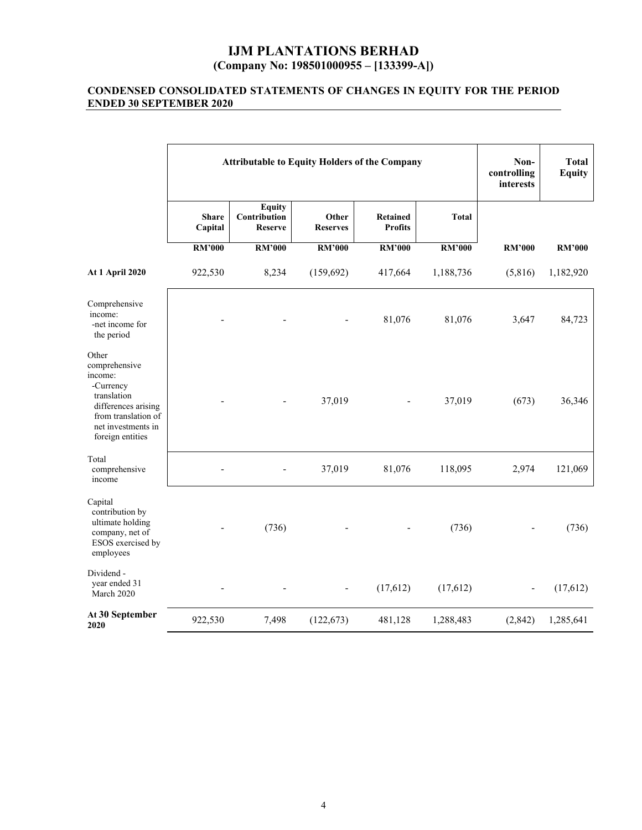#### **CONDENSED CONSOLIDATED STATEMENTS OF CHANGES IN EQUITY FOR THE PERIOD ENDED 30 SEPTEMBER 2020**

|                                                                                                                                                       | <b>Attributable to Equity Holders of the Company</b> |                                                 |                          |                                   | Non-<br>controlling<br>interests | <b>Total</b><br><b>Equity</b> |               |
|-------------------------------------------------------------------------------------------------------------------------------------------------------|------------------------------------------------------|-------------------------------------------------|--------------------------|-----------------------------------|----------------------------------|-------------------------------|---------------|
|                                                                                                                                                       | <b>Share</b><br>Capital                              | <b>Equity</b><br>Contribution<br><b>Reserve</b> | Other<br><b>Reserves</b> | <b>Retained</b><br><b>Profits</b> | <b>Total</b>                     |                               |               |
|                                                                                                                                                       | <b>RM'000</b>                                        | <b>RM'000</b>                                   | <b>RM'000</b>            | <b>RM'000</b>                     | <b>RM'000</b>                    | <b>RM'000</b>                 | <b>RM'000</b> |
| At 1 April 2020                                                                                                                                       | 922,530                                              | 8,234                                           | (159, 692)               | 417,664                           | 1,188,736                        | (5,816)                       | 1,182,920     |
| Comprehensive<br>income:<br>-net income for<br>the period                                                                                             |                                                      |                                                 |                          | 81,076                            | 81,076                           | 3,647                         | 84,723        |
| Other<br>comprehensive<br>income:<br>-Currency<br>translation<br>differences arising<br>from translation of<br>net investments in<br>foreign entities |                                                      |                                                 | 37,019                   |                                   | 37,019                           | (673)                         | 36,346        |
| Total<br>comprehensive<br>income                                                                                                                      |                                                      |                                                 | 37,019                   | 81,076                            | 118,095                          | 2,974                         | 121,069       |
| Capital<br>contribution by<br>ultimate holding<br>company, net of<br>ESOS exercised by<br>employees                                                   |                                                      | (736)                                           |                          |                                   | (736)                            |                               | (736)         |
| Dividend -<br>year ended 31<br>March 2020                                                                                                             |                                                      |                                                 |                          | (17, 612)                         | (17,612)                         |                               | (17,612)      |
| At 30 September<br>2020                                                                                                                               | 922,530                                              | 7,498                                           | (122, 673)               | 481,128                           | 1,288,483                        | (2,842)                       | 1,285,641     |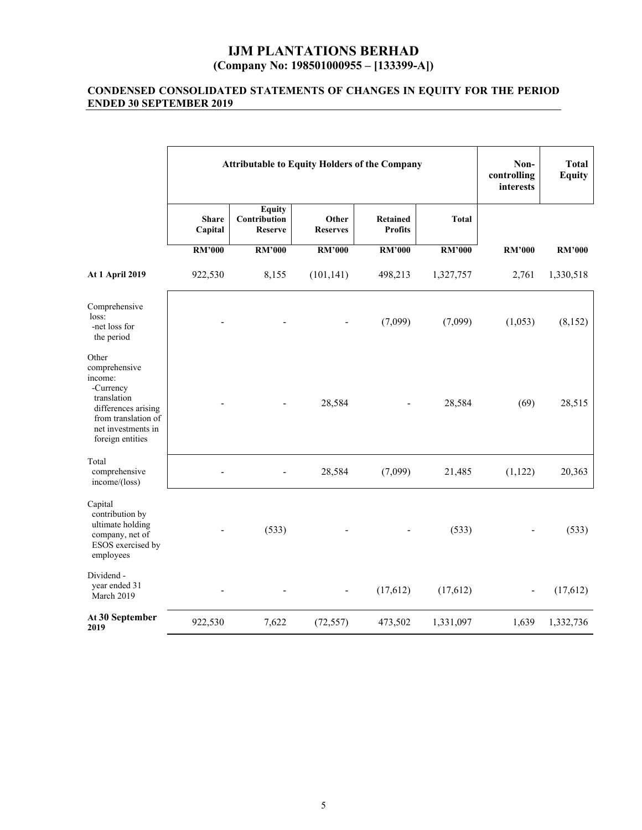#### **CONDENSED CONSOLIDATED STATEMENTS OF CHANGES IN EQUITY FOR THE PERIOD ENDED 30 SEPTEMBER 2019**

|                                                                                                                                                       | <b>Attributable to Equity Holders of the Company</b> |                                                 |                          |                                   |               | Non-<br>controlling<br>interests | <b>Total</b><br><b>Equity</b> |
|-------------------------------------------------------------------------------------------------------------------------------------------------------|------------------------------------------------------|-------------------------------------------------|--------------------------|-----------------------------------|---------------|----------------------------------|-------------------------------|
|                                                                                                                                                       | <b>Share</b><br>Capital                              | <b>Equity</b><br>Contribution<br><b>Reserve</b> | Other<br><b>Reserves</b> | <b>Retained</b><br><b>Profits</b> | <b>Total</b>  |                                  |                               |
|                                                                                                                                                       | <b>RM'000</b>                                        | <b>RM'000</b>                                   | <b>RM'000</b>            | <b>RM'000</b>                     | <b>RM'000</b> | <b>RM'000</b>                    | <b>RM'000</b>                 |
| <b>At 1 April 2019</b>                                                                                                                                | 922,530                                              | 8,155                                           | (101, 141)               | 498,213                           | 1,327,757     | 2,761                            | 1,330,518                     |
| Comprehensive<br>loss:<br>-net loss for<br>the period                                                                                                 |                                                      |                                                 |                          | (7,099)                           | (7,099)       | (1,053)                          | (8,152)                       |
| Other<br>comprehensive<br>income:<br>-Currency<br>translation<br>differences arising<br>from translation of<br>net investments in<br>foreign entities |                                                      |                                                 | 28,584                   |                                   | 28,584        | (69)                             | 28,515                        |
| Total<br>comprehensive<br>income/(loss)                                                                                                               |                                                      |                                                 | 28,584                   | (7,099)                           | 21,485        | (1,122)                          | 20,363                        |
| Capital<br>contribution by<br>ultimate holding<br>company, net of<br>ESOS exercised by<br>employees                                                   |                                                      | (533)                                           |                          |                                   | (533)         |                                  | (533)                         |
| Dividend -<br>year ended 31<br>March 2019                                                                                                             |                                                      |                                                 |                          | (17, 612)                         | (17,612)      | $\overline{\phantom{a}}$         | (17,612)                      |
| At 30 September<br>2019                                                                                                                               | 922,530                                              | 7,622                                           | (72, 557)                | 473,502                           | 1,331,097     | 1,639                            | 1,332,736                     |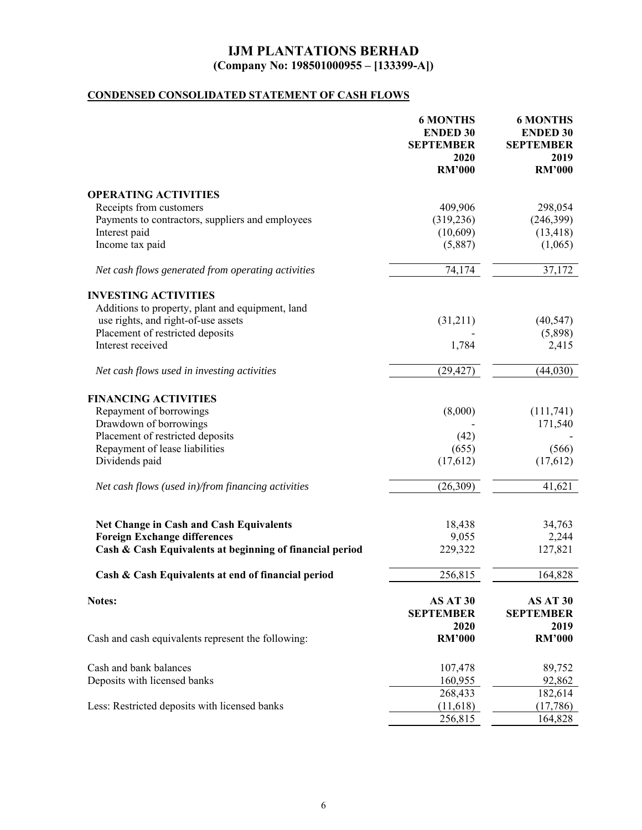# **CONDENSED CONSOLIDATED STATEMENT OF CASH FLOWS**

|                                                          | <b>6 MONTHS</b><br><b>ENDED 30</b><br><b>SEPTEMBER</b><br>2020<br><b>RM'000</b> | <b>6 MONTHS</b><br><b>ENDED 30</b><br><b>SEPTEMBER</b><br>2019<br><b>RM'000</b> |
|----------------------------------------------------------|---------------------------------------------------------------------------------|---------------------------------------------------------------------------------|
|                                                          |                                                                                 |                                                                                 |
| <b>OPERATING ACTIVITIES</b>                              |                                                                                 |                                                                                 |
| Receipts from customers                                  | 409,906                                                                         | 298,054                                                                         |
| Payments to contractors, suppliers and employees         | (319, 236)                                                                      | (246,399)                                                                       |
| Interest paid                                            | (10,609)                                                                        | (13, 418)                                                                       |
| Income tax paid                                          | (5,887)                                                                         | (1,065)                                                                         |
| Net cash flows generated from operating activities       | 74,174                                                                          | 37,172                                                                          |
| <b>INVESTING ACTIVITIES</b>                              |                                                                                 |                                                                                 |
| Additions to property, plant and equipment, land         |                                                                                 |                                                                                 |
| use rights, and right-of-use assets                      | (31,211)                                                                        | (40, 547)                                                                       |
| Placement of restricted deposits                         |                                                                                 | (5,898)                                                                         |
| Interest received                                        | 1,784                                                                           | 2,415                                                                           |
|                                                          |                                                                                 |                                                                                 |
| Net cash flows used in investing activities              | (29, 427)                                                                       | (44, 030)                                                                       |
| <b>FINANCING ACTIVITIES</b>                              |                                                                                 |                                                                                 |
| Repayment of borrowings                                  | (8,000)                                                                         | (111,741)                                                                       |
| Drawdown of borrowings                                   |                                                                                 | 171,540                                                                         |
| Placement of restricted deposits                         | (42)                                                                            |                                                                                 |
| Repayment of lease liabilities                           | (655)                                                                           | (566)                                                                           |
| Dividends paid                                           | (17,612)                                                                        | (17,612)                                                                        |
|                                                          |                                                                                 |                                                                                 |
| Net cash flows (used in)/from financing activities       | (26,309)                                                                        | 41,621                                                                          |
|                                                          |                                                                                 |                                                                                 |
| <b>Net Change in Cash and Cash Equivalents</b>           | 18,438                                                                          | 34,763                                                                          |
| <b>Foreign Exchange differences</b>                      | 9,055                                                                           | 2,244                                                                           |
| Cash & Cash Equivalents at beginning of financial period | 229,322                                                                         | 127,821                                                                         |
| Cash & Cash Equivalents at end of financial period       | 256,815                                                                         | 164,828                                                                         |
| Notes:                                                   | AS AT 30<br><b>SEPTEMBER</b>                                                    | AS AT 30<br><b>SEPTEMBER</b>                                                    |
|                                                          | 2020                                                                            | 2019                                                                            |
| Cash and cash equivalents represent the following:       | <b>RM'000</b>                                                                   | <b>RM'000</b>                                                                   |
| Cash and bank balances                                   | 107,478                                                                         | 89,752                                                                          |
| Deposits with licensed banks                             | 160,955                                                                         | 92,862                                                                          |
|                                                          | 268,433                                                                         | 182,614                                                                         |
| Less: Restricted deposits with licensed banks            | (11,618)                                                                        | (17,786)                                                                        |
|                                                          | 256,815                                                                         | 164,828                                                                         |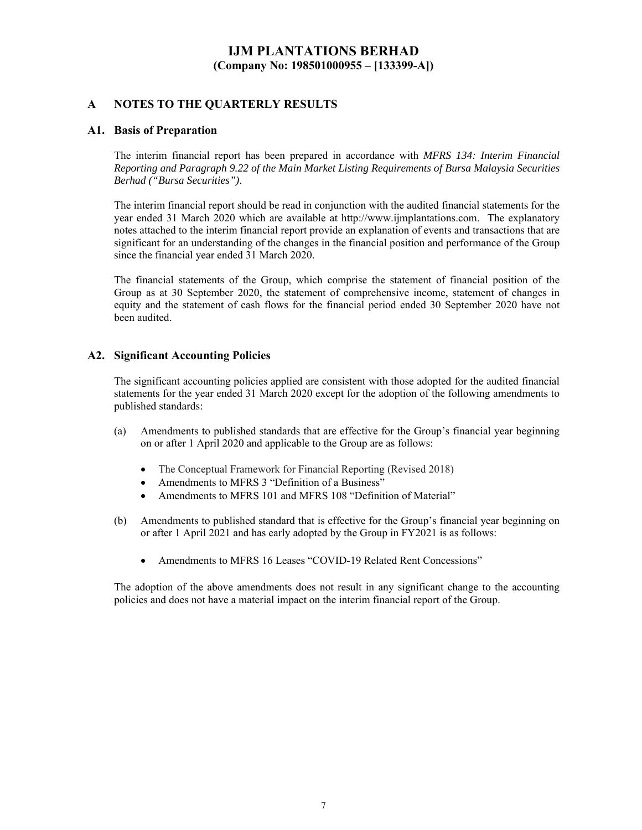### **A NOTES TO THE QUARTERLY RESULTS**

#### **A1. Basis of Preparation**

The interim financial report has been prepared in accordance with *MFRS 134: Interim Financial Reporting and Paragraph 9.22 of the Main Market Listing Requirements of Bursa Malaysia Securities Berhad ("Bursa Securities")*.

The interim financial report should be read in conjunction with the audited financial statements for the year ended 31 March 2020 which are available at http://www.ijmplantations.com. The explanatory notes attached to the interim financial report provide an explanation of events and transactions that are significant for an understanding of the changes in the financial position and performance of the Group since the financial year ended 31 March 2020.

The financial statements of the Group, which comprise the statement of financial position of the Group as at 30 September 2020, the statement of comprehensive income, statement of changes in equity and the statement of cash flows for the financial period ended 30 September 2020 have not been audited.

#### **A2. Significant Accounting Policies**

The significant accounting policies applied are consistent with those adopted for the audited financial statements for the year ended 31 March 2020 except for the adoption of the following amendments to published standards:

- (a) Amendments to published standards that are effective for the Group's financial year beginning on or after 1 April 2020 and applicable to the Group are as follows:
	- The Conceptual Framework for Financial Reporting (Revised 2018)
	- Amendments to MFRS 3 "Definition of a Business"
	- Amendments to MFRS 101 and MFRS 108 "Definition of Material"
- (b) Amendments to published standard that is effective for the Group's financial year beginning on or after 1 April 2021 and has early adopted by the Group in FY2021 is as follows:
	- Amendments to MFRS 16 Leases "COVID-19 Related Rent Concessions"

The adoption of the above amendments does not result in any significant change to the accounting policies and does not have a material impact on the interim financial report of the Group.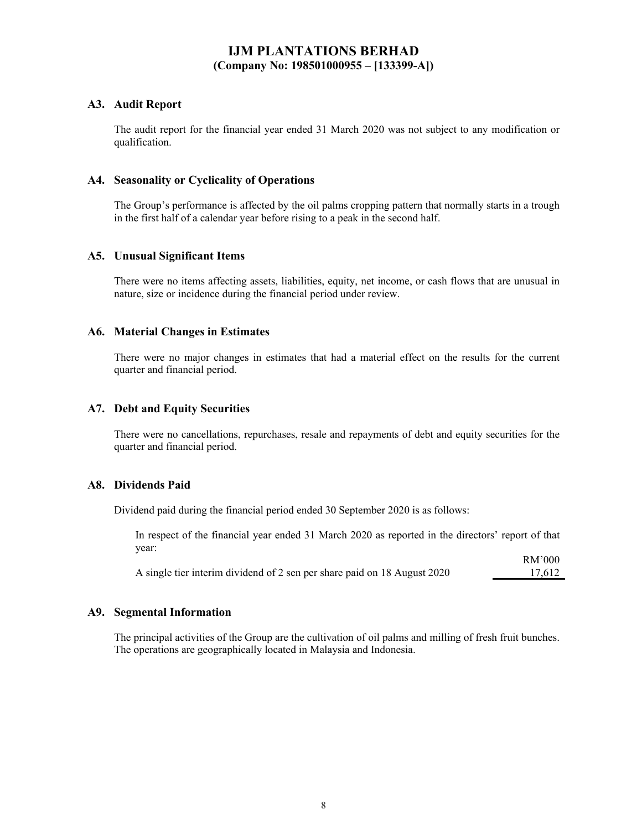### **A3. Audit Report**

The audit report for the financial year ended 31 March 2020 was not subject to any modification or qualification.

#### **A4. Seasonality or Cyclicality of Operations**

The Group's performance is affected by the oil palms cropping pattern that normally starts in a trough in the first half of a calendar year before rising to a peak in the second half.

#### **A5. Unusual Significant Items**

There were no items affecting assets, liabilities, equity, net income, or cash flows that are unusual in nature, size or incidence during the financial period under review.

#### **A6. Material Changes in Estimates**

There were no major changes in estimates that had a material effect on the results for the current quarter and financial period.

#### **A7. Debt and Equity Securities**

There were no cancellations, repurchases, resale and repayments of debt and equity securities for the quarter and financial period.

#### **A8. Dividends Paid**

Dividend paid during the financial period ended 30 September 2020 is as follows:

In respect of the financial year ended 31 March 2020 as reported in the directors' report of that year:  $DMP$ 000

|                                                                          | KN 000 |
|--------------------------------------------------------------------------|--------|
| A single tier interim dividend of 2 sen per share paid on 18 August 2020 | 17.612 |

#### **A9. Segmental Information**

The principal activities of the Group are the cultivation of oil palms and milling of fresh fruit bunches. The operations are geographically located in Malaysia and Indonesia.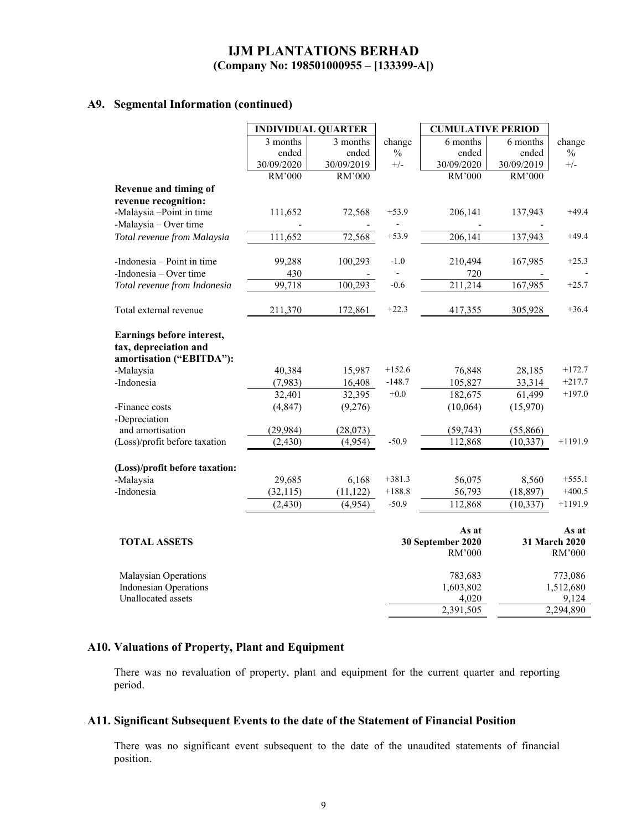### **A9. Segmental Information (continued)**

|                                |            | <b>INDIVIDUAL QUARTER</b> |          | <b>CUMULATIVE PERIOD</b> |            |               |
|--------------------------------|------------|---------------------------|----------|--------------------------|------------|---------------|
|                                | 3 months   | 3 months                  | change   | 6 months                 | 6 months   | change        |
|                                | ended      | ended                     | $\%$     | ended                    | ended      | $\frac{0}{0}$ |
|                                | 30/09/2020 | 30/09/2019                | $+/-$    | 30/09/2020               | 30/09/2019 | $+/-$         |
|                                | RM'000     | RM'000                    |          | RM'000                   | RM'000     |               |
| Revenue and timing of          |            |                           |          |                          |            |               |
| revenue recognition:           |            |                           |          |                          |            |               |
| -Malaysia -Point in time       | 111,652    | 72,568                    | $+53.9$  | 206,141                  | 137,943    | $+49.4$       |
| -Malaysia - Over time          |            |                           |          |                          |            |               |
| Total revenue from Malaysia    | 111,652    | 72,568                    | $+53.9$  | 206,141                  | 137,943    | $+49.4$       |
|                                |            |                           |          |                          |            |               |
| -Indonesia – Point in time     | 99,288     | 100,293                   | $-1.0$   | 210,494                  | 167,985    | $+25.3$       |
| -Indonesia – Over time         | 430        |                           |          | 720                      |            |               |
| Total revenue from Indonesia   | 99,718     | 100,293                   | $-0.6$   | 211,214                  | 167,985    | $+25.7$       |
|                                |            |                           |          |                          |            |               |
| Total external revenue         | 211,370    | 172,861                   | $+22.3$  | 417,355                  | 305,928    | $+36.4$       |
| Earnings before interest,      |            |                           |          |                          |            |               |
| tax, depreciation and          |            |                           |          |                          |            |               |
| amortisation ("EBITDA"):       |            |                           |          |                          |            |               |
| -Malaysia                      | 40,384     | 15,987                    | $+152.6$ | 76,848                   | 28,185     | $+172.7$      |
| -Indonesia                     | (7,983)    | 16,408                    | $-148.7$ | 105,827                  | 33,314     | $+217.7$      |
|                                |            |                           | $+0.0$   |                          |            | $+197.0$      |
|                                | 32,401     | 32,395                    |          | 182,675                  | 61,499     |               |
| -Finance costs                 | (4, 847)   | (9,276)                   |          | (10,064)                 | (15,970)   |               |
| -Depreciation                  |            |                           |          |                          |            |               |
| and amortisation               | (29, 984)  | (28,073)                  |          | (59, 743)                | (55,866)   |               |
| (Loss)/profit before taxation  | (2, 430)   | (4,954)                   | $-50.9$  | 112,868                  | (10, 337)  | $+1191.9$     |
| (Loss)/profit before taxation: |            |                           |          |                          |            |               |
| -Malaysia                      | 29,685     | 6,168                     | $+381.3$ | 56,075                   | 8,560      | $+555.1$      |
| -Indonesia                     | (32, 115)  | (11, 122)                 | $+188.8$ | 56,793                   | (18, 897)  | $+400.5$      |
|                                | (2, 430)   | (4,954)                   | $-50.9$  | 112,868                  | (10, 337)  | $+1191.9$     |
|                                |            |                           |          | As at                    |            | As at         |
| <b>TOTAL ASSETS</b>            |            |                           |          | 30 September 2020        |            | 31 March 2020 |
|                                |            |                           |          | RM'000                   |            | RM'000        |
| Malaysian Operations           |            |                           |          | 783,683                  |            | 773,086       |
| <b>Indonesian Operations</b>   |            |                           |          | 1,603,802                |            | 1,512,680     |
| Unallocated assets             |            |                           |          | 4,020                    |            | 9,124         |
|                                |            |                           |          | 2,391,505                |            | 2,294,890     |

# **A10. Valuations of Property, Plant and Equipment**

There was no revaluation of property, plant and equipment for the current quarter and reporting period.

### **A11. Significant Subsequent Events to the date of the Statement of Financial Position**

There was no significant event subsequent to the date of the unaudited statements of financial position.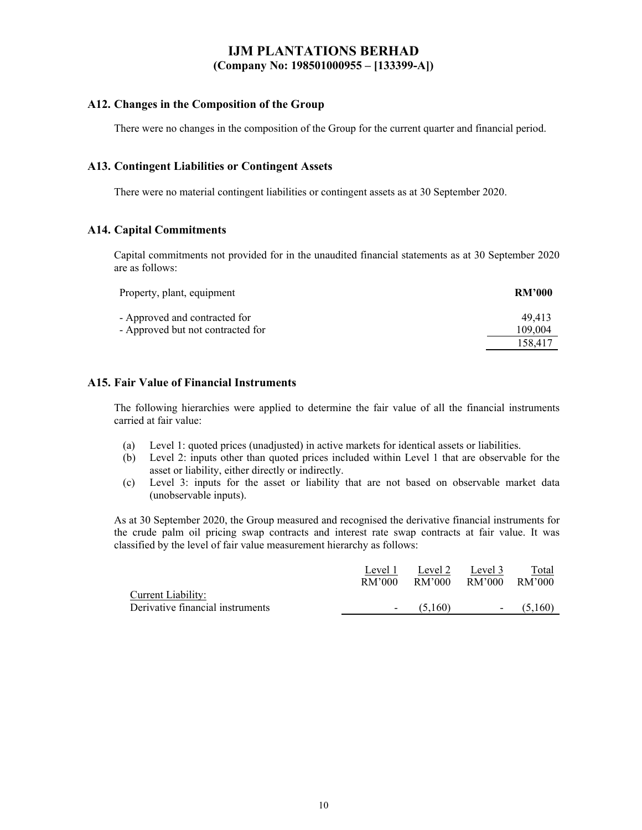### **A12. Changes in the Composition of the Group**

There were no changes in the composition of the Group for the current quarter and financial period.

### **A13. Contingent Liabilities or Contingent Assets**

There were no material contingent liabilities or contingent assets as at 30 September 2020.

#### **A14. Capital Commitments**

Capital commitments not provided for in the unaudited financial statements as at 30 September 2020 are as follows:

| Property, plant, equipment                                         | <b>RM'000</b>     |
|--------------------------------------------------------------------|-------------------|
| - Approved and contracted for<br>- Approved but not contracted for | 49.413<br>109,004 |
|                                                                    | 158.417           |

### **A15. Fair Value of Financial Instruments**

The following hierarchies were applied to determine the fair value of all the financial instruments carried at fair value:

- (a) Level 1: quoted prices (unadjusted) in active markets for identical assets or liabilities.
- (b) Level 2: inputs other than quoted prices included within Level 1 that are observable for the asset or liability, either directly or indirectly.
- (c) Level 3: inputs for the asset or liability that are not based on observable market data (unobservable inputs).

As at 30 September 2020, the Group measured and recognised the derivative financial instruments for the crude palm oil pricing swap contracts and interest rate swap contracts at fair value. It was classified by the level of fair value measurement hierarchy as follows:

|                                  | Level 1                  | Level 2 | Level 3 | Total   |
|----------------------------------|--------------------------|---------|---------|---------|
|                                  | RM'000                   | RM'000  | RM'000  | RM'000  |
| <b>Current Liability:</b>        |                          |         |         |         |
| Derivative financial instruments | $\overline{\phantom{a}}$ | (5.160) | $\sim$  | (5.160) |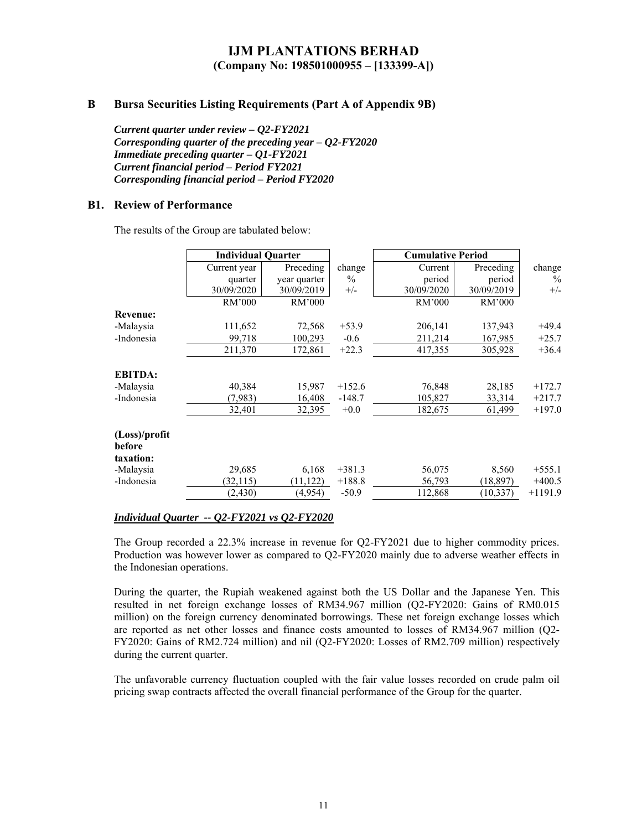#### **B Bursa Securities Listing Requirements (Part A of Appendix 9B)**

*Current quarter under review – Q2-FY2021 Corresponding quarter of the preceding year – Q2-FY2020 Immediate preceding quarter – Q1-FY2021 Current financial period – Period FY2021 Corresponding financial period – Period FY2020* 

#### **B1. Review of Performance**

The results of the Group are tabulated below:

|                 | <b>Individual Quarter</b> |                            |               | <b>Cumulative Period</b> |                      |               |
|-----------------|---------------------------|----------------------------|---------------|--------------------------|----------------------|---------------|
|                 | Current year              | Preceding                  | change        | Current                  | Preceding            | change        |
|                 | quarter<br>30/09/2020     | year quarter<br>30/09/2019 | $\%$<br>$+/-$ | period<br>30/09/2020     | period<br>30/09/2019 | $\%$<br>$+/-$ |
|                 | RM'000                    | RM'000                     |               | RM'000                   | RM'000               |               |
| <b>Revenue:</b> |                           |                            |               |                          |                      |               |
| -Malaysia       | 111,652                   | 72,568                     | $+53.9$       | 206,141                  | 137,943              | $+49.4$       |
| -Indonesia      | 99,718                    | 100,293                    | $-0.6$        | 211,214                  | 167,985              | $+25.7$       |
|                 | 211,370                   | 172,861                    | $+22.3$       | 417,355                  | 305,928              | $+36.4$       |
| <b>EBITDA:</b>  |                           |                            |               |                          |                      |               |
| -Malaysia       | 40,384                    | 15,987                     | $+152.6$      | 76,848                   | 28,185               | $+172.7$      |
| -Indonesia      | (7,983)                   | 16,408                     | $-148.7$      | 105,827                  | 33,314               | $+217.7$      |
|                 | 32,401                    | 32,395                     | $+0.0$        | 182,675                  | 61,499               | $+197.0$      |
| (Loss)/profit   |                           |                            |               |                          |                      |               |
| before          |                           |                            |               |                          |                      |               |
| taxation:       |                           |                            |               |                          |                      |               |
| -Malaysia       | 29,685                    | 6,168                      | $+381.3$      | 56,075                   | 8,560                | $+555.1$      |
| -Indonesia      | (32, 115)                 | (11, 122)                  | $+188.8$      | 56,793                   | (18, 897)            | $+400.5$      |
|                 | (2, 430)                  | (4,954)                    | $-50.9$       | 112,868                  | (10, 337)            | $+1191.9$     |

#### *Individual Quarter -- Q2-FY2021 vs Q2-FY2020*

The Group recorded a 22.3% increase in revenue for Q2-FY2021 due to higher commodity prices. Production was however lower as compared to Q2-FY2020 mainly due to adverse weather effects in the Indonesian operations.

During the quarter, the Rupiah weakened against both the US Dollar and the Japanese Yen. This resulted in net foreign exchange losses of RM34.967 million (Q2-FY2020: Gains of RM0.015 million) on the foreign currency denominated borrowings. These net foreign exchange losses which are reported as net other losses and finance costs amounted to losses of RM34.967 million (Q2- FY2020: Gains of RM2.724 million) and nil (Q2-FY2020: Losses of RM2.709 million) respectively during the current quarter.

The unfavorable currency fluctuation coupled with the fair value losses recorded on crude palm oil pricing swap contracts affected the overall financial performance of the Group for the quarter.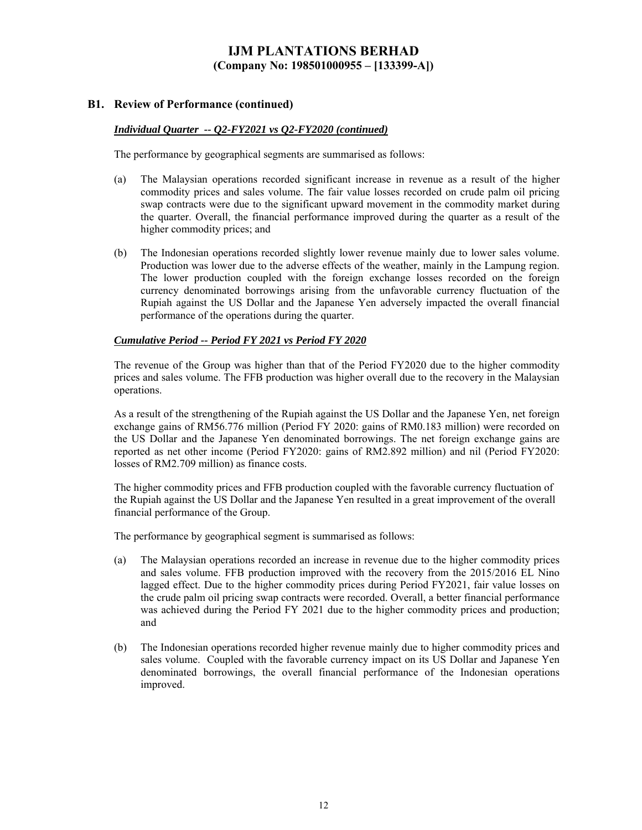#### **B1. Review of Performance (continued)**

#### *Individual Quarter -- Q2-FY2021 vs Q2-FY2020 (continued)*

The performance by geographical segments are summarised as follows:

- (a) The Malaysian operations recorded significant increase in revenue as a result of the higher commodity prices and sales volume. The fair value losses recorded on crude palm oil pricing swap contracts were due to the significant upward movement in the commodity market during the quarter. Overall, the financial performance improved during the quarter as a result of the higher commodity prices; and
- (b) The Indonesian operations recorded slightly lower revenue mainly due to lower sales volume. Production was lower due to the adverse effects of the weather, mainly in the Lampung region. The lower production coupled with the foreign exchange losses recorded on the foreign currency denominated borrowings arising from the unfavorable currency fluctuation of the Rupiah against the US Dollar and the Japanese Yen adversely impacted the overall financial performance of the operations during the quarter.

#### *Cumulative Period -- Period FY 2021 vs Period FY 2020*

The revenue of the Group was higher than that of the Period FY2020 due to the higher commodity prices and sales volume. The FFB production was higher overall due to the recovery in the Malaysian operations.

As a result of the strengthening of the Rupiah against the US Dollar and the Japanese Yen, net foreign exchange gains of RM56.776 million (Period FY 2020: gains of RM0.183 million) were recorded on the US Dollar and the Japanese Yen denominated borrowings. The net foreign exchange gains are reported as net other income (Period FY2020: gains of RM2.892 million) and nil (Period FY2020: losses of RM2.709 million) as finance costs.

The higher commodity prices and FFB production coupled with the favorable currency fluctuation of the Rupiah against the US Dollar and the Japanese Yen resulted in a great improvement of the overall financial performance of the Group.

The performance by geographical segment is summarised as follows:

- (a) The Malaysian operations recorded an increase in revenue due to the higher commodity prices and sales volume. FFB production improved with the recovery from the 2015/2016 EL Nino lagged effect. Due to the higher commodity prices during Period FY2021, fair value losses on the crude palm oil pricing swap contracts were recorded. Overall, a better financial performance was achieved during the Period FY 2021 due to the higher commodity prices and production; and
- (b) The Indonesian operations recorded higher revenue mainly due to higher commodity prices and sales volume. Coupled with the favorable currency impact on its US Dollar and Japanese Yen denominated borrowings, the overall financial performance of the Indonesian operations improved.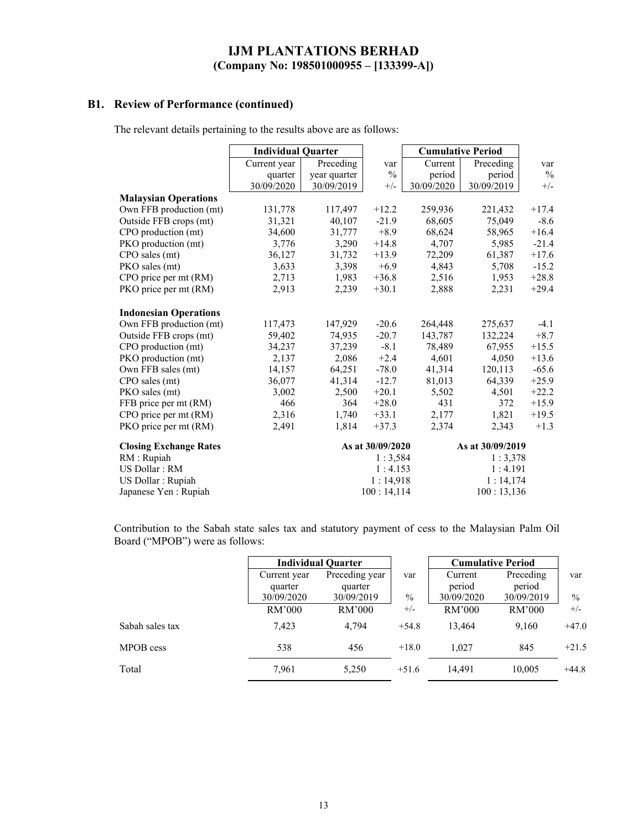### **B1. Review of Performance (continued)**

The relevant details pertaining to the results above are as follows:

|                               | <b>Individual Quarter</b> |              |                  | <b>Cumulative Period</b> |                  |               |
|-------------------------------|---------------------------|--------------|------------------|--------------------------|------------------|---------------|
|                               | Current year              | Preceding    | var              | Current                  | Preceding        | var           |
|                               | quarter                   | year quarter | $\frac{0}{0}$    | period                   | period           | $\frac{0}{0}$ |
|                               | 30/09/2020                | 30/09/2019   | $+/-$            | 30/09/2020               | 30/09/2019       | $+/-$         |
| <b>Malaysian Operations</b>   |                           |              |                  |                          |                  |               |
| Own FFB production (mt)       | 131,778                   | 117,497      | $+12.2$          | 259,936                  | 221,432          | $+17.4$       |
| Outside FFB crops (mt)        | 31,321                    | 40,107       | $-21.9$          | 68,605                   | 75,049           | $-8.6$        |
| CPO production (mt)           | 34,600                    | 31,777       | $+8.9$           | 68,624                   | 58,965           | $+16.4$       |
| PKO production (mt)           | 3,776                     | 3,290        | $+14.8$          | 4,707                    | 5,985            | $-21.4$       |
| CPO sales (mt)                | 36,127                    | 31,732       | $+13.9$          | 72,209                   | 61,387           | $+17.6$       |
| PKO sales (mt)                | 3,633                     | 3,398        | $+6.9$           | 4,843                    | 5,708            | $-15.2$       |
| CPO price per mt (RM)         | 2,713                     | 1,983        | $+36.8$          | 2,516                    | 1,953            | $+28.8$       |
| PKO price per mt (RM)         | 2,913                     | 2,239        | $+30.1$          | 2,888                    | 2,231            | $+29.4$       |
| <b>Indonesian Operations</b>  |                           |              |                  |                          |                  |               |
| Own FFB production (mt)       | 117,473                   | 147,929      | $-20.6$          | 264,448                  | 275,637          | $-4.1$        |
| Outside FFB crops (mt)        | 59,402                    | 74,935       | $-20.7$          | 143,787                  | 132,224          | $+8.7$        |
| CPO production (mt)           | 34,237                    | 37,239       | $-8.1$           | 78,489                   | 67,955           | $+15.5$       |
| PKO production (mt)           | 2,137                     | 2,086        | $+2.4$           | 4,601                    | 4,050            | $+13.6$       |
| Own FFB sales (mt)            | 14,157                    | 64,251       | $-78.0$          | 41,314                   | 120,113          | $-65.6$       |
| CPO sales (mt)                | 36,077                    | 41,314       | $-12.7$          | 81,013                   | 64,339           | $+25.9$       |
| PKO sales (mt)                | 3,002                     | 2,500        | $+20.1$          | 5,502                    | 4,501            | $+22.2$       |
| FFB price per mt (RM)         | 466                       | 364          | $+28.0$          | 431                      | 372              | $+15.9$       |
| CPO price per mt (RM)         | 2,316                     | 1,740        | $+33.1$          | 2,177                    | 1,821            | $+19.5$       |
| PKO price per mt (RM)         | 2,491                     | 1,814        | $+37.3$          | 2,374                    | 2,343            | $+1.3$        |
| <b>Closing Exchange Rates</b> |                           |              | As at 30/09/2020 |                          | As at 30/09/2019 |               |
| RM : Rupiah                   |                           |              | 1:3,584          |                          | 1:3,378          |               |
| US Dollar: RM                 |                           |              | 1:4.153          |                          | 1:4.191          |               |
| US Dollar : Rupiah            |                           |              | 1:14,918         |                          | 1:14,174         |               |
| Japanese Yen : Rupiah         |                           |              | 100:14,114       |                          | 100:13,136       |               |

Contribution to the Sabah state sales tax and statutory payment of cess to the Malaysian Palm Oil Board ("MPOB") were as follows:

|                 | <b>Individual Quarter</b> |                |         | <b>Cumulative Period</b> |            |               |
|-----------------|---------------------------|----------------|---------|--------------------------|------------|---------------|
|                 | Current year              | Preceding year | var     | Current                  | Preceding  | var           |
|                 | quarter                   | quarter        |         | period                   | period     |               |
|                 | 30/09/2020                | 30/09/2019     | $\%$    | 30/09/2020               | 30/09/2019 | $\frac{0}{0}$ |
|                 | RM'000                    | RM'000         | $+/-$   | RM'000                   | RM'000     | $+/-$         |
| Sabah sales tax | 7.423                     | 4.794          | $+54.8$ | 13.464                   | 9.160      | $+47.0$       |
| MPOB cess       | 538                       | 456            | $+18.0$ | 1.027                    | 845        | $+21.5$       |
| Total           | 7,961                     | 5,250          | $+51.6$ | 14.491                   | 10,005     | $+44.8$       |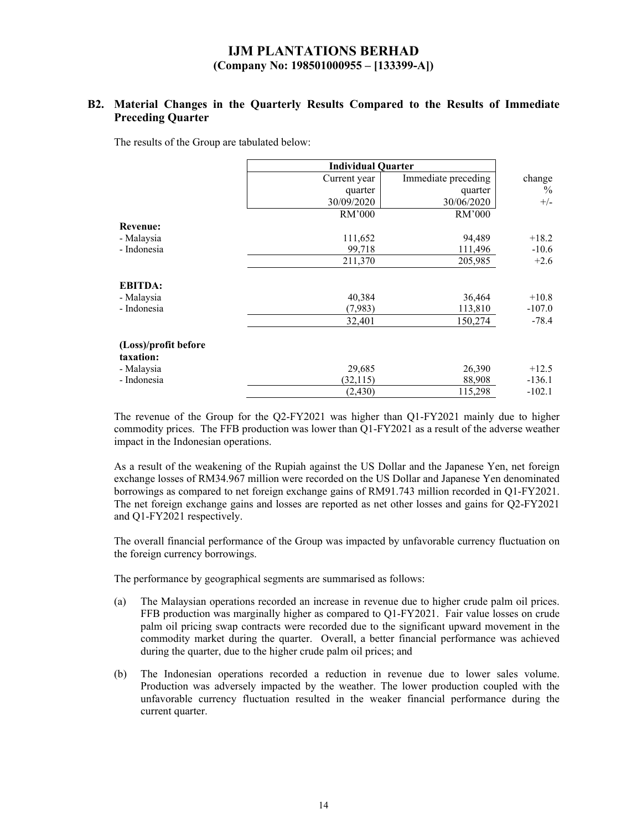### **B2. Material Changes in the Quarterly Results Compared to the Results of Immediate Preceding Quarter**

The results of the Group are tabulated below:

|                                                                | <b>Individual Quarter</b>       |                             |                                 |
|----------------------------------------------------------------|---------------------------------|-----------------------------|---------------------------------|
|                                                                | Current year                    | Immediate preceding         | change                          |
|                                                                | quarter                         | quarter                     | $\%$                            |
|                                                                | 30/09/2020                      | 30/06/2020                  | $+/-$                           |
|                                                                | RM'000                          | RM'000                      |                                 |
| <b>Revenue:</b>                                                |                                 |                             |                                 |
| - Malaysia                                                     | 111,652                         | 94,489                      | $+18.2$                         |
| - Indonesia                                                    | 99,718                          | 111,496                     | $-10.6$                         |
|                                                                | 211,370                         | 205,985                     | $+2.6$                          |
| <b>EBITDA:</b><br>- Malaysia<br>- Indonesia                    | 40,384<br>(7,983)               | 36,464<br>113,810           | $+10.8$<br>$-107.0$             |
|                                                                | 32,401                          | 150,274                     | $-78.4$                         |
| (Loss)/profit before<br>taxation:<br>- Malaysia<br>- Indonesia | 29,685<br>(32, 115)<br>(2, 430) | 26,390<br>88,908<br>115,298 | $+12.5$<br>$-136.1$<br>$-102.1$ |

The revenue of the Group for the Q2-FY2021 was higher than Q1-FY2021 mainly due to higher commodity prices. The FFB production was lower than Q1-FY2021 as a result of the adverse weather impact in the Indonesian operations.

As a result of the weakening of the Rupiah against the US Dollar and the Japanese Yen, net foreign exchange losses of RM34.967 million were recorded on the US Dollar and Japanese Yen denominated borrowings as compared to net foreign exchange gains of RM91.743 million recorded in Q1-FY2021. The net foreign exchange gains and losses are reported as net other losses and gains for Q2-FY2021 and Q1-FY2021 respectively.

The overall financial performance of the Group was impacted by unfavorable currency fluctuation on the foreign currency borrowings.

The performance by geographical segments are summarised as follows:

- (a) The Malaysian operations recorded an increase in revenue due to higher crude palm oil prices. FFB production was marginally higher as compared to Q1-FY2021. Fair value losses on crude palm oil pricing swap contracts were recorded due to the significant upward movement in the commodity market during the quarter. Overall, a better financial performance was achieved during the quarter, due to the higher crude palm oil prices; and
- (b) The Indonesian operations recorded a reduction in revenue due to lower sales volume. Production was adversely impacted by the weather. The lower production coupled with the unfavorable currency fluctuation resulted in the weaker financial performance during the current quarter.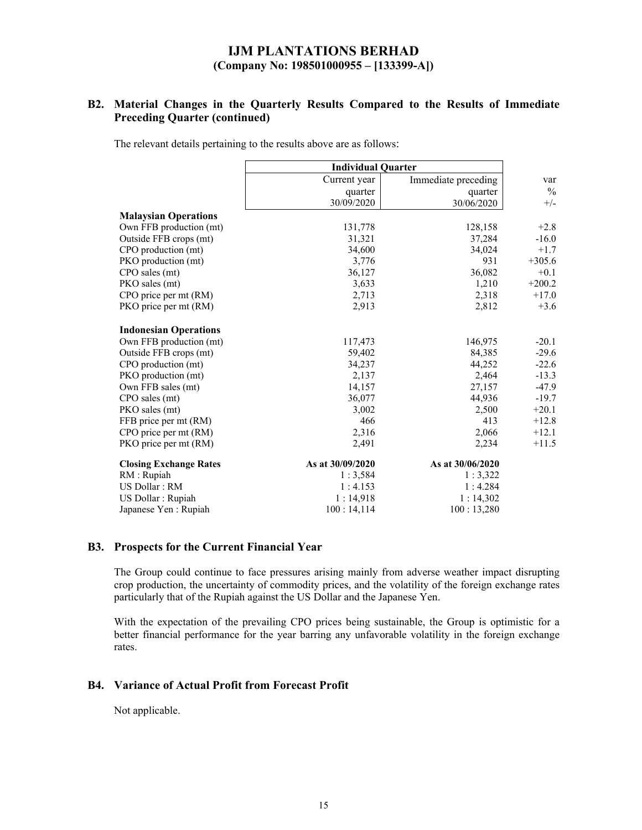### **B2. Material Changes in the Quarterly Results Compared to the Results of Immediate Preceding Quarter (continued)**

The relevant details pertaining to the results above are as follows:

|                               | <b>Individual Quarter</b> |                     |               |
|-------------------------------|---------------------------|---------------------|---------------|
|                               | Current year              | Immediate preceding | var           |
|                               | quarter                   | quarter             | $\frac{0}{0}$ |
|                               | 30/09/2020                | 30/06/2020          | $+/-$         |
| <b>Malaysian Operations</b>   |                           |                     |               |
| Own FFB production (mt)       | 131,778                   | 128,158             | $+2.8$        |
| Outside FFB crops (mt)        | 31,321                    | 37,284              | $-16.0$       |
| CPO production (mt)           | 34,600                    | 34,024              | $+1.7$        |
| PKO production (mt)           | 3,776                     | 931                 | $+305.6$      |
| CPO sales (mt)                | 36,127                    | 36,082              | $+0.1$        |
| PKO sales (mt)                | 3,633                     | 1,210               | $+200.2$      |
| CPO price per mt (RM)         | 2,713                     | 2,318               | $+17.0$       |
| PKO price per mt (RM)         | 2,913                     | 2,812               | $+3.6$        |
| <b>Indonesian Operations</b>  |                           |                     |               |
| Own FFB production (mt)       | 117,473                   | 146,975             | $-20.1$       |
| Outside FFB crops (mt)        | 59,402                    | 84,385              | $-29.6$       |
| CPO production (mt)           | 34,237                    | 44,252              | $-22.6$       |
| PKO production (mt)           | 2,137                     | 2,464               | $-13.3$       |
| Own FFB sales (mt)            | 14,157                    | 27,157              | $-47.9$       |
| CPO sales (mt)                | 36,077                    | 44,936              | $-19.7$       |
| PKO sales (mt)                | 3,002                     | 2,500               | $+20.1$       |
| FFB price per mt (RM)         | 466                       | 413                 | $+12.8$       |
| CPO price per mt (RM)         | 2,316                     | 2,066               | $+12.1$       |
| PKO price per mt (RM)         | 2,491                     | 2,234               | $+11.5$       |
| <b>Closing Exchange Rates</b> | As at 30/09/2020          | As at 30/06/2020    |               |
| RM : Rupiah                   | 1:3,584                   | 1:3,322             |               |
| US Dollar: RM                 | 1:4.153                   | 1:4.284             |               |
| US Dollar : Rupiah            | 1:14,918                  | 1:14,302            |               |
| Japanese Yen : Rupiah         | 100:14,114                | 100:13,280          |               |

#### **B3. Prospects for the Current Financial Year**

The Group could continue to face pressures arising mainly from adverse weather impact disrupting crop production, the uncertainty of commodity prices, and the volatility of the foreign exchange rates particularly that of the Rupiah against the US Dollar and the Japanese Yen.

With the expectation of the prevailing CPO prices being sustainable, the Group is optimistic for a better financial performance for the year barring any unfavorable volatility in the foreign exchange rates.

### **B4. Variance of Actual Profit from Forecast Profit**

Not applicable.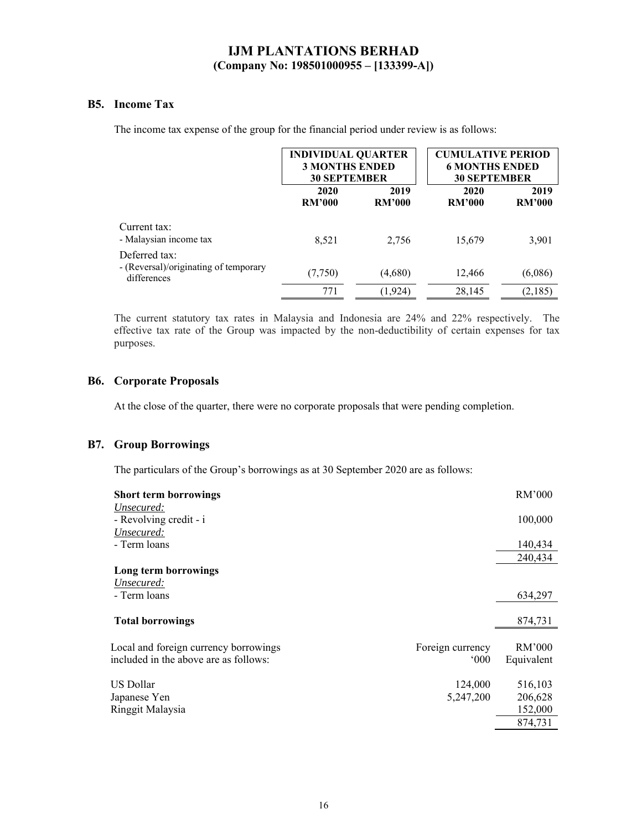### **B5. Income Tax**

The income tax expense of the group for the financial period under review is as follows:

|                                                                       |                       | <b>INDIVIDUAL QUARTER</b><br><b>3 MONTHS ENDED</b><br><b>30 SEPTEMBER</b> |                       | <b>CUMULATIVE PERIOD</b><br><b>6 MONTHS ENDED</b><br><b>30 SEPTEMBER</b> |
|-----------------------------------------------------------------------|-----------------------|---------------------------------------------------------------------------|-----------------------|--------------------------------------------------------------------------|
|                                                                       | 2020<br><b>RM'000</b> | 2019<br><b>RM'000</b>                                                     | 2020<br><b>RM'000</b> | 2019<br><b>RM'000</b>                                                    |
| Current tax:<br>- Malaysian income tax                                | 8,521                 | 2,756                                                                     | 15,679                | 3,901                                                                    |
| Deferred tax:<br>- (Reversal)/originating of temporary<br>differences | (7,750)               | (4,680)                                                                   | 12,466                | (6,086)                                                                  |
|                                                                       | 771                   | (1,924)                                                                   | 28,145                | (2,185)                                                                  |

The current statutory tax rates in Malaysia and Indonesia are 24% and 22% respectively. The effective tax rate of the Group was impacted by the non-deductibility of certain expenses for tax purposes.

#### **B6. Corporate Proposals**

At the close of the quarter, there were no corporate proposals that were pending completion.

### **B7. Group Borrowings**

The particulars of the Group's borrowings as at 30 September 2020 are as follows:

| <b>Short term borrowings</b>          |                  | RM'000     |
|---------------------------------------|------------------|------------|
| Unsecured:                            |                  |            |
| - Revolving credit - i                |                  | 100,000    |
| Unsecured:                            |                  |            |
| - Term loans                          |                  | 140,434    |
|                                       |                  | 240,434    |
| Long term borrowings                  |                  |            |
| Unsecured:                            |                  |            |
| - Term loans                          |                  | 634,297    |
|                                       |                  |            |
| <b>Total borrowings</b>               |                  | 874,731    |
|                                       |                  |            |
| Local and foreign currency borrowings | Foreign currency | RM'000     |
| included in the above are as follows: | $000^{\circ}$    | Equivalent |
| US Dollar                             | 124,000          | 516,103    |
| Japanese Yen                          | 5,247,200        | 206,628    |
| Ringgit Malaysia                      |                  | 152,000    |
|                                       |                  |            |
|                                       |                  | 874,731    |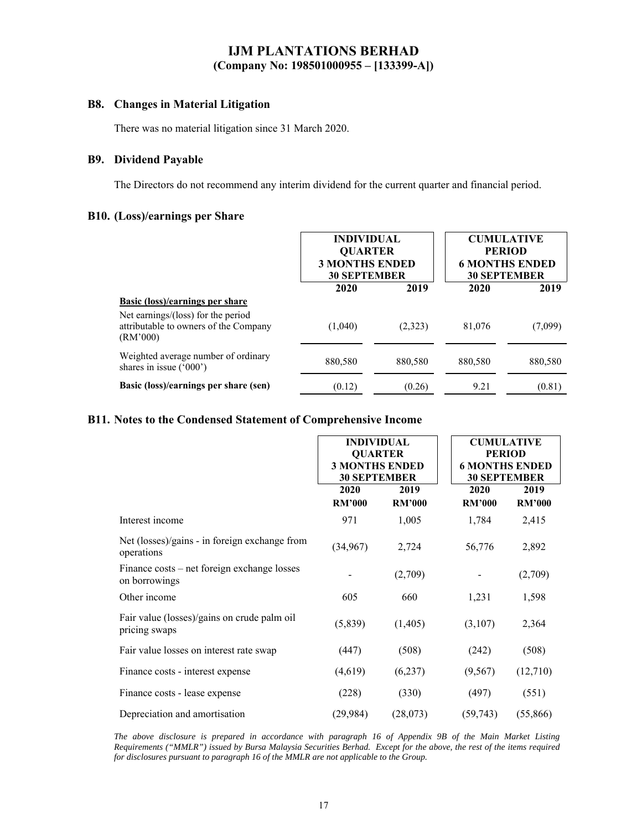### **B8. Changes in Material Litigation**

There was no material litigation since 31 March 2020.

### **B9. Dividend Payable**

The Directors do not recommend any interim dividend for the current quarter and financial period.

#### **B10. (Loss)/earnings per Share**

|                                                                                         | <b>INDIVIDUAL</b><br><b>QUARTER</b><br><b>3 MONTHS ENDED</b><br><b>30 SEPTEMBER</b> |         | <b>CUMULATIVE</b><br><b>PERIOD</b><br><b>6 MONTHS ENDED</b><br><b>30 SEPTEMBER</b> |         |  |
|-----------------------------------------------------------------------------------------|-------------------------------------------------------------------------------------|---------|------------------------------------------------------------------------------------|---------|--|
|                                                                                         | 2020                                                                                | 2019    | 2020                                                                               | 2019    |  |
| <b>Basic (loss)/earnings per share</b>                                                  |                                                                                     |         |                                                                                    |         |  |
| Net earnings/(loss) for the period<br>attributable to owners of the Company<br>(RM'000) | (1,040)                                                                             | (2,323) | 81,076                                                                             | (7,099) |  |
| Weighted average number of ordinary<br>shares in issue $('000')$                        | 880.580                                                                             | 880,580 | 880,580                                                                            | 880,580 |  |
| Basic (loss)/earnings per share (sen)                                                   | (0.12)                                                                              | (0.26)  | 9.21                                                                               | (0.81)  |  |

### **B11. Notes to the Condensed Statement of Comprehensive Income**

|                                                              | <b>INDIVIDUAL</b><br><b>QUARTER</b><br><b>3 MONTHS ENDED</b><br><b>30 SEPTEMBER</b> |                       | <b>CUMULATIVE</b><br><b>PERIOD</b><br><b>6 MONTHS ENDED</b><br><b>30 SEPTEMBER</b> |                       |
|--------------------------------------------------------------|-------------------------------------------------------------------------------------|-----------------------|------------------------------------------------------------------------------------|-----------------------|
|                                                              | 2020<br><b>RM'000</b>                                                               | 2019<br><b>RM'000</b> | 2020<br><b>RM'000</b>                                                              | 2019<br><b>RM'000</b> |
| Interest income                                              | 971                                                                                 | 1,005                 | 1,784                                                                              | 2,415                 |
| Net (losses)/gains - in foreign exchange from<br>operations  | (34,967)                                                                            | 2,724                 | 56,776                                                                             | 2,892                 |
| Finance costs – net foreign exchange losses<br>on borrowings |                                                                                     | (2,709)               |                                                                                    | (2,709)               |
| Other income                                                 | 605                                                                                 | 660                   | 1,231                                                                              | 1,598                 |
| Fair value (losses)/gains on crude palm oil<br>pricing swaps | (5,839)                                                                             | (1,405)               | (3,107)                                                                            | 2,364                 |
| Fair value losses on interest rate swap                      | (447)                                                                               | (508)                 | (242)                                                                              | (508)                 |
| Finance costs - interest expense                             | (4,619)                                                                             | (6,237)               | (9, 567)                                                                           | (12,710)              |
| Finance costs - lease expense                                | (228)                                                                               | (330)                 | (497)                                                                              | (551)                 |
| Depreciation and amortisation                                | (29, 984)                                                                           | (28,073)              | (59, 743)                                                                          | (55,866)              |

*The above disclosure is prepared in accordance with paragraph 16 of Appendix 9B of the Main Market Listing Requirements ("MMLR") issued by Bursa Malaysia Securities Berhad. Except for the above, the rest of the items required for disclosures pursuant to paragraph 16 of the MMLR are not applicable to the Group.*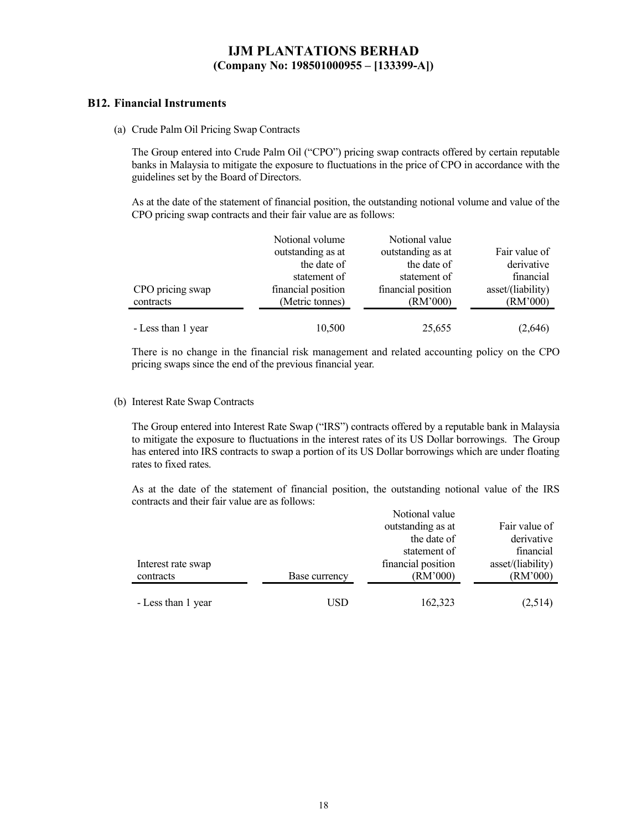#### **B12. Financial Instruments**

(a) Crude Palm Oil Pricing Swap Contracts

The Group entered into Crude Palm Oil ("CPO") pricing swap contracts offered by certain reputable banks in Malaysia to mitigate the exposure to fluctuations in the price of CPO in accordance with the guidelines set by the Board of Directors.

As at the date of the statement of financial position, the outstanding notional volume and value of the CPO pricing swap contracts and their fair value are as follows:

|                    | Notional volume    | Notional value     |                   |
|--------------------|--------------------|--------------------|-------------------|
|                    | outstanding as at  | outstanding as at  | Fair value of     |
|                    | the date of        | the date of        | derivative        |
|                    | statement of       | statement of       | financial         |
| CPO pricing swap   | financial position | financial position | asset/(liability) |
| contracts          | (Metric tonnes)    | (RM'000)           | (RM'000)          |
|                    |                    |                    |                   |
| - Less than 1 year | 10,500             | 25,655             | (2,646)           |

There is no change in the financial risk management and related accounting policy on the CPO pricing swaps since the end of the previous financial year.

#### (b) Interest Rate Swap Contracts

The Group entered into Interest Rate Swap ("IRS") contracts offered by a reputable bank in Malaysia to mitigate the exposure to fluctuations in the interest rates of its US Dollar borrowings. The Group has entered into IRS contracts to swap a portion of its US Dollar borrowings which are under floating rates to fixed rates.

As at the date of the statement of financial position, the outstanding notional value of the IRS contracts and their fair value are as follows:

|                    |               | Notional value     |                   |
|--------------------|---------------|--------------------|-------------------|
|                    |               | outstanding as at  | Fair value of     |
|                    |               | the date of        | derivative        |
|                    |               | statement of       | financial         |
| Interest rate swap |               | financial position | asset/(liability) |
| contracts          | Base currency | (RM'000)           | (RM'000)          |
|                    |               |                    |                   |
| - Less than 1 year | USD           | 162,323            | (2,514)           |